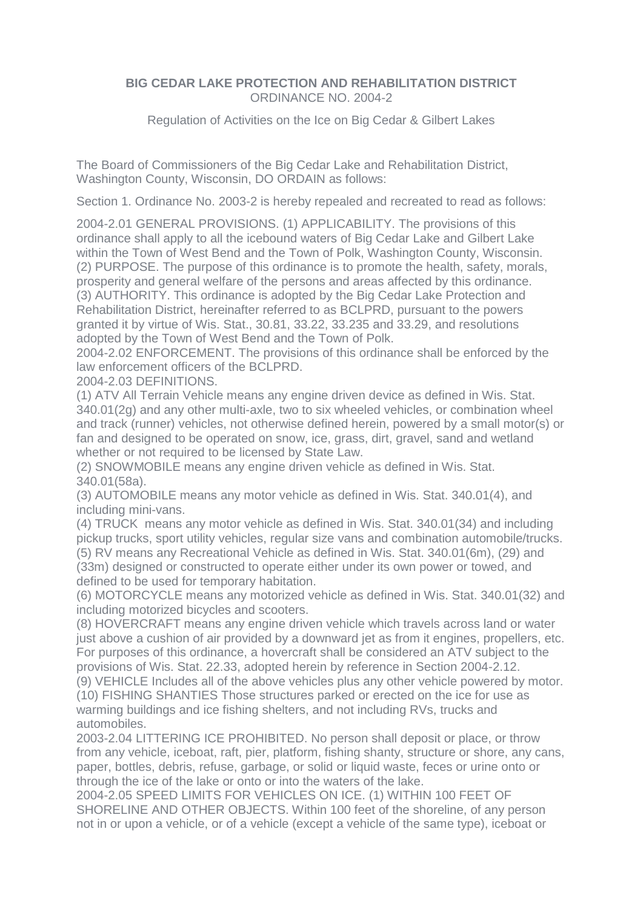## **BIG CEDAR LAKE PROTECTION AND REHABILITATION DISTRICT** ORDINANCE NO. 2004-2

Regulation of Activities on the Ice on Big Cedar & Gilbert Lakes

The Board of Commissioners of the Big Cedar Lake and Rehabilitation District, Washington County, Wisconsin, DO ORDAIN as follows:

Section 1. Ordinance No. 2003-2 is hereby repealed and recreated to read as follows:

2004-2.01 GENERAL PROVISIONS. (1) APPLICABILITY. The provisions of this ordinance shall apply to all the icebound waters of Big Cedar Lake and Gilbert Lake within the Town of West Bend and the Town of Polk, Washington County, Wisconsin. (2) PURPOSE. The purpose of this ordinance is to promote the health, safety, morals, prosperity and general welfare of the persons and areas affected by this ordinance. (3) AUTHORITY. This ordinance is adopted by the Big Cedar Lake Protection and Rehabilitation District, hereinafter referred to as BCLPRD, pursuant to the powers granted it by virtue of Wis. Stat., 30.81, 33.22, 33.235 and 33.29, and resolutions adopted by the Town of West Bend and the Town of Polk.

2004-2.02 ENFORCEMENT. The provisions of this ordinance shall be enforced by the law enforcement officers of the BCLPRD.

2004-2.03 DEFINITIONS.

(1) ATV All Terrain Vehicle means any engine driven device as defined in Wis. Stat. 340.01(2g) and any other multi-axle, two to six wheeled vehicles, or combination wheel and track (runner) vehicles, not otherwise defined herein, powered by a small motor(s) or fan and designed to be operated on snow, ice, grass, dirt, gravel, sand and wetland whether or not required to be licensed by State Law.

(2) SNOWMOBILE means any engine driven vehicle as defined in Wis. Stat. 340.01(58a).

(3) AUTOMOBILE means any motor vehicle as defined in Wis. Stat. 340.01(4), and including mini-vans.

(4) TRUCK means any motor vehicle as defined in Wis. Stat. 340.01(34) and including pickup trucks, sport utility vehicles, regular size vans and combination automobile/trucks. (5) RV means any Recreational Vehicle as defined in Wis. Stat. 340.01(6m), (29) and (33m) designed or constructed to operate either under its own power or towed, and defined to be used for temporary habitation.

(6) MOTORCYCLE means any motorized vehicle as defined in Wis. Stat. 340.01(32) and including motorized bicycles and scooters.

(8) HOVERCRAFT means any engine driven vehicle which travels across land or water just above a cushion of air provided by a downward jet as from it engines, propellers, etc. For purposes of this ordinance, a hovercraft shall be considered an ATV subject to the provisions of Wis. Stat. 22.33, adopted herein by reference in Section 2004-2.12.

(9) VEHICLE Includes all of the above vehicles plus any other vehicle powered by motor. (10) FISHING SHANTIES Those structures parked or erected on the ice for use as warming buildings and ice fishing shelters, and not including RVs, trucks and automobiles.

2003-2.04 LITTERING ICE PROHIBITED. No person shall deposit or place, or throw from any vehicle, iceboat, raft, pier, platform, fishing shanty, structure or shore, any cans, paper, bottles, debris, refuse, garbage, or solid or liquid waste, feces or urine onto or through the ice of the lake or onto or into the waters of the lake.

2004-2.05 SPEED LIMITS FOR VEHICLES ON ICE. (1) WITHIN 100 FEET OF SHORELINE AND OTHER OBJECTS. Within 100 feet of the shoreline, of any person not in or upon a vehicle, or of a vehicle (except a vehicle of the same type), iceboat or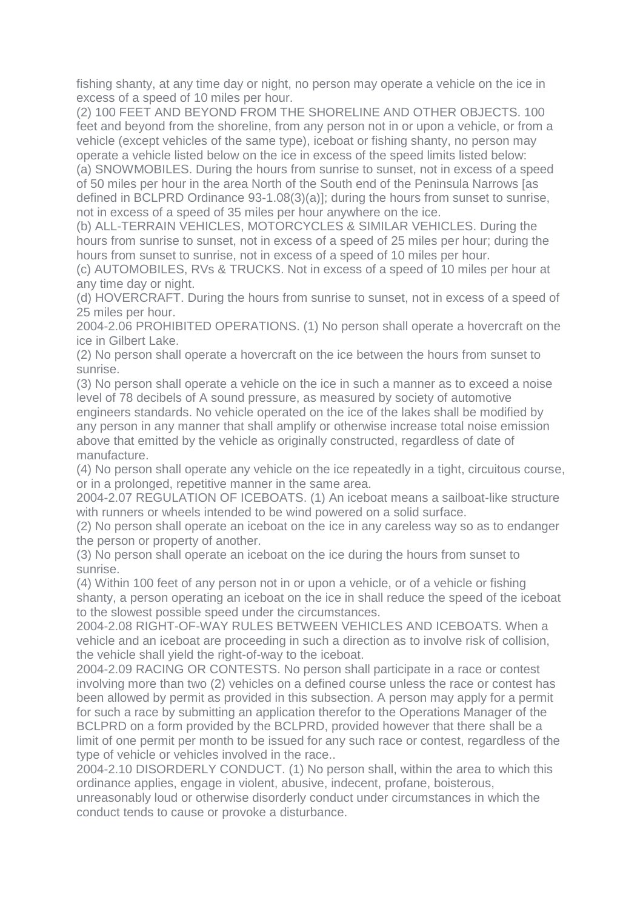fishing shanty, at any time day or night, no person may operate a vehicle on the ice in excess of a speed of 10 miles per hour.

(2) 100 FEET AND BEYOND FROM THE SHORELINE AND OTHER OBJECTS. 100 feet and beyond from the shoreline, from any person not in or upon a vehicle, or from a vehicle (except vehicles of the same type), iceboat or fishing shanty, no person may operate a vehicle listed below on the ice in excess of the speed limits listed below:

(a) SNOWMOBILES. During the hours from sunrise to sunset, not in excess of a speed of 50 miles per hour in the area North of the South end of the Peninsula Narrows [as defined in BCLPRD Ordinance 93-1.08(3)(a)]; during the hours from sunset to sunrise, not in excess of a speed of 35 miles per hour anywhere on the ice.

(b) ALL-TERRAIN VEHICLES, MOTORCYCLES & SIMILAR VEHICLES. During the hours from sunrise to sunset, not in excess of a speed of 25 miles per hour; during the hours from sunset to sunrise, not in excess of a speed of 10 miles per hour.

(c) AUTOMOBILES, RVs & TRUCKS. Not in excess of a speed of 10 miles per hour at any time day or night.

(d) HOVERCRAFT. During the hours from sunrise to sunset, not in excess of a speed of 25 miles per hour.

2004-2.06 PROHIBITED OPERATIONS. (1) No person shall operate a hovercraft on the ice in Gilbert Lake.

(2) No person shall operate a hovercraft on the ice between the hours from sunset to sunrise.

(3) No person shall operate a vehicle on the ice in such a manner as to exceed a noise level of 78 decibels of A sound pressure, as measured by society of automotive engineers standards. No vehicle operated on the ice of the lakes shall be modified by any person in any manner that shall amplify or otherwise increase total noise emission above that emitted by the vehicle as originally constructed, regardless of date of manufacture.

(4) No person shall operate any vehicle on the ice repeatedly in a tight, circuitous course, or in a prolonged, repetitive manner in the same area.

2004-2.07 REGULATION OF ICEBOATS. (1) An iceboat means a sailboat-like structure with runners or wheels intended to be wind powered on a solid surface.

(2) No person shall operate an iceboat on the ice in any careless way so as to endanger the person or property of another.

(3) No person shall operate an iceboat on the ice during the hours from sunset to sunrise.

(4) Within 100 feet of any person not in or upon a vehicle, or of a vehicle or fishing shanty, a person operating an iceboat on the ice in shall reduce the speed of the iceboat to the slowest possible speed under the circumstances.

2004-2.08 RIGHT-OF-WAY RULES BETWEEN VEHICLES AND ICEBOATS. When a vehicle and an iceboat are proceeding in such a direction as to involve risk of collision, the vehicle shall yield the right-of-way to the iceboat.

2004-2.09 RACING OR CONTESTS. No person shall participate in a race or contest involving more than two (2) vehicles on a defined course unless the race or contest has been allowed by permit as provided in this subsection. A person may apply for a permit for such a race by submitting an application therefor to the Operations Manager of the BCLPRD on a form provided by the BCLPRD, provided however that there shall be a limit of one permit per month to be issued for any such race or contest, regardless of the type of vehicle or vehicles involved in the race..

2004-2.10 DISORDERLY CONDUCT. (1) No person shall, within the area to which this ordinance applies, engage in violent, abusive, indecent, profane, boisterous,

unreasonably loud or otherwise disorderly conduct under circumstances in which the conduct tends to cause or provoke a disturbance.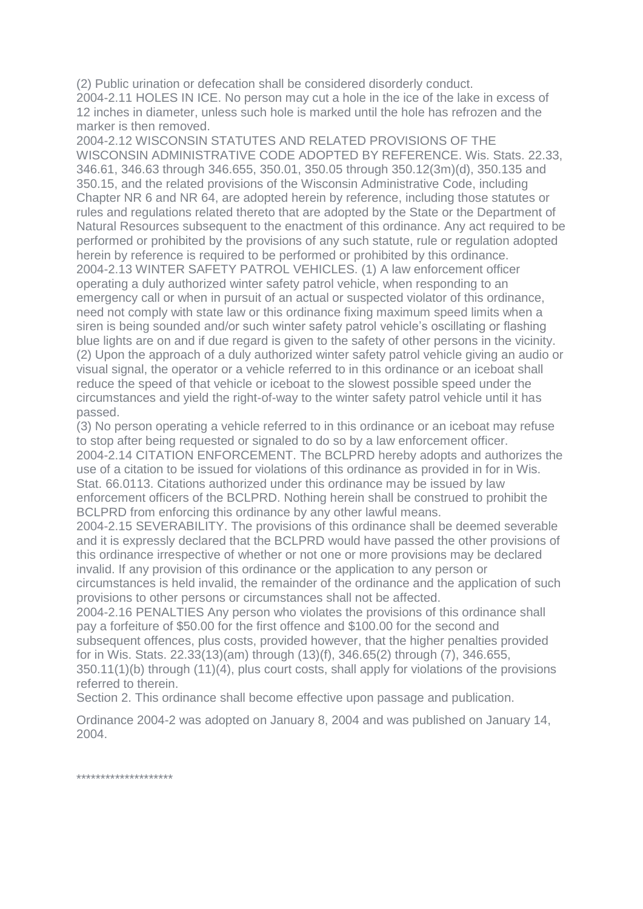(2) Public urination or defecation shall be considered disorderly conduct.

2004-2.11 HOLES IN ICE. No person may cut a hole in the ice of the lake in excess of 12 inches in diameter, unless such hole is marked until the hole has refrozen and the marker is then removed.

2004-2.12 WISCONSIN STATUTES AND RELATED PROVISIONS OF THE WISCONSIN ADMINISTRATIVE CODE ADOPTED BY REFERENCE. Wis. Stats. 22.33, 346.61, 346.63 through 346.655, 350.01, 350.05 through 350.12(3m)(d), 350.135 and 350.15, and the related provisions of the Wisconsin Administrative Code, including Chapter NR 6 and NR 64, are adopted herein by reference, including those statutes or rules and regulations related thereto that are adopted by the State or the Department of Natural Resources subsequent to the enactment of this ordinance. Any act required to be performed or prohibited by the provisions of any such statute, rule or regulation adopted herein by reference is required to be performed or prohibited by this ordinance. 2004-2.13 WINTER SAFETY PATROL VEHICLES. (1) A law enforcement officer operating a duly authorized winter safety patrol vehicle, when responding to an emergency call or when in pursuit of an actual or suspected violator of this ordinance, need not comply with state law or this ordinance fixing maximum speed limits when a siren is being sounded and/or such winter safety patrol vehicle's oscillating or flashing blue lights are on and if due regard is given to the safety of other persons in the vicinity. (2) Upon the approach of a duly authorized winter safety patrol vehicle giving an audio or visual signal, the operator or a vehicle referred to in this ordinance or an iceboat shall reduce the speed of that vehicle or iceboat to the slowest possible speed under the circumstances and yield the right-of-way to the winter safety patrol vehicle until it has passed.

(3) No person operating a vehicle referred to in this ordinance or an iceboat may refuse to stop after being requested or signaled to do so by a law enforcement officer. 2004-2.14 CITATION ENFORCEMENT. The BCLPRD hereby adopts and authorizes the use of a citation to be issued for violations of this ordinance as provided in for in Wis. Stat. 66.0113. Citations authorized under this ordinance may be issued by law enforcement officers of the BCLPRD. Nothing herein shall be construed to prohibit the BCLPRD from enforcing this ordinance by any other lawful means.

2004-2.15 SEVERABILITY. The provisions of this ordinance shall be deemed severable and it is expressly declared that the BCLPRD would have passed the other provisions of this ordinance irrespective of whether or not one or more provisions may be declared invalid. If any provision of this ordinance or the application to any person or circumstances is held invalid, the remainder of the ordinance and the application of such provisions to other persons or circumstances shall not be affected.

2004-2.16 PENALTIES Any person who violates the provisions of this ordinance shall pay a forfeiture of \$50.00 for the first offence and \$100.00 for the second and subsequent offences, plus costs, provided however, that the higher penalties provided for in Wis. Stats. 22.33(13)(am) through (13)(f), 346.65(2) through (7), 346.655, 350.11(1)(b) through (11)(4), plus court costs, shall apply for violations of the provisions referred to therein.

Section 2. This ordinance shall become effective upon passage and publication.

Ordinance 2004-2 was adopted on January 8, 2004 and was published on January 14, 2004.

\*\*\*\*\*\*\*\*\*\*\*\*\*\*\*\*\*\*\*\*